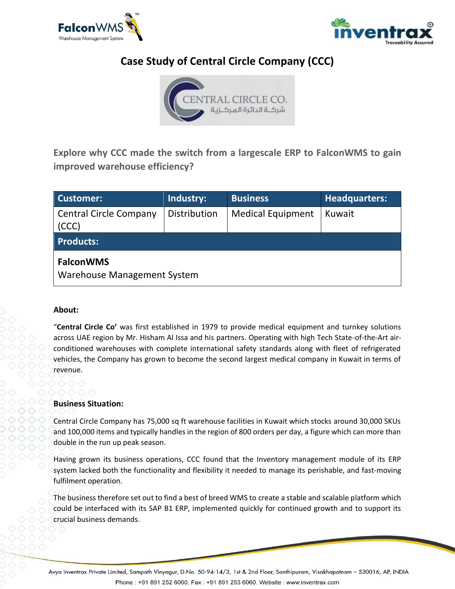



# **Case Study of Central Circle Company (CCC)**



**Explore why CCC made the switch from a largescale ERP to FalconWMS to gain improved warehouse efficiency?**

| Customer:                                       | Industry:    | <b>Business</b>          | <b>Headquarters:</b> |
|-------------------------------------------------|--------------|--------------------------|----------------------|
| <b>Central Circle Company</b><br>(CCC)          | Distribution | <b>Medical Equipment</b> | Kuwait               |
| <b>Products:</b>                                |              |                          |                      |
| <b>FalconWMS</b><br>Warehouse Management System |              |                          |                      |

# **About:**

"**Central Circle Co'** was first established in 1979 to provide medical equipment and turnkey solutions across UAE region by Mr. Hisham Al Issa and his partners. Operating with high Tech State-of-the-Art airconditioned warehouses with complete international safety standards along with fleet of refrigerated vehicles, the Company has grown to become the second largest medical company in Kuwait in terms of revenue.

# **Business Situation:**

Central Circle Company has 75,000 sq ft warehouse facilities in Kuwait which stocks around 30,000 SKUs and 100,000 items and typically handles in the region of 800 orders per day, a figure which can more than double in the run up peak season.

Having grown its business operations, CCC found that the Inventory management module of its ERP system lacked both the functionality and flexibility it needed to manage its perishable, and fast-moving fulfilment operation.

The business therefore set out to find a best of breed WMS to create a stable and scalable platform which could be interfaced with its SAP B1 ERP, implemented quickly for continued growth and to support its crucial business demands.

Avya Inventrax Private Limited, Sampath Vinyagur, D.No. 50-94-14/3, 1st & 2nd Floor, Santhipuram, Visakhapatnam – 530016, AP, INDIA Phone: +91 891 252 6060, Fax: +91 891 253 6060. Website: www.inventrax.com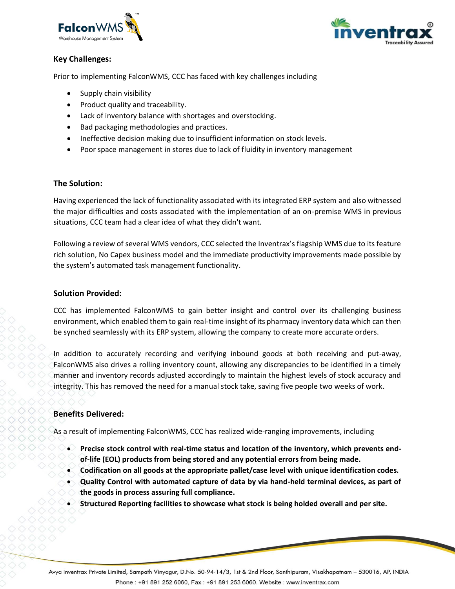



# **Key Challenges:**

Prior to implementing FalconWMS, CCC has faced with key challenges including

- Supply chain visibility
- Product quality and traceability.
- Lack of inventory balance with shortages and overstocking.
- Bad packaging methodologies and practices.
- Ineffective decision making due to insufficient information on stock levels.
- Poor space management in stores due to lack of fluidity in inventory management

#### **The Solution:**

Having experienced the lack of functionality associated with its integrated ERP system and also witnessed the major difficulties and costs associated with the implementation of an on-premise WMS in previous situations, CCC team had a clear idea of what they didn't want.

Following a review of several WMS vendors, CCC selected the Inventrax's flagship WMS due to its feature rich solution, No Capex business model and the immediate productivity improvements made possible by the system's automated task management functionality.

#### **Solution Provided:**

CCC has implemented FalconWMS to gain better insight and control over its challenging business environment, which enabled them to gain real-time insight of its pharmacy inventory data which can then be synched seamlessly with its ERP system, allowing the company to create more accurate orders.

In addition to accurately recording and verifying inbound goods at both receiving and put-away, FalconWMS also drives a rolling inventory count, allowing any discrepancies to be identified in a timely manner and inventory records adjusted accordingly to maintain the highest levels of stock accuracy and integrity. This has removed the need for a manual stock take, saving five people two weeks of work.

# **Benefits Delivered:**

As a result of implementing FalconWMS, CCC has realized wide-ranging improvements, including

- **Precise stock control with real-time status and location of the inventory, which prevents endof-life (EOL) products from being stored and any potential errors from being made.**
- **Codification on all goods at the appropriate pallet/case level with unique identification codes.**
- **Quality Control with automated capture of data by via hand-held terminal devices, as part of the goods in process assuring full compliance.**
- **Structured Reporting facilities to showcase what stock is being holded overall and per site.**